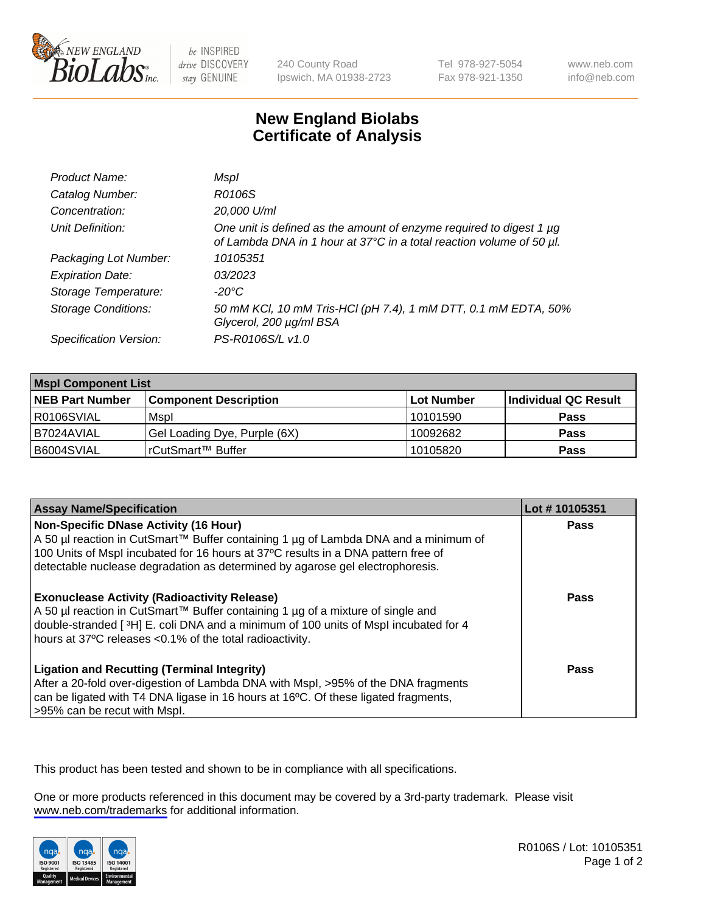

be INSPIRED drive DISCOVERY stay GENUINE

240 County Road Ipswich, MA 01938-2723 Tel 978-927-5054 Fax 978-921-1350

www.neb.com info@neb.com

## **New England Biolabs Certificate of Analysis**

| Product Name:              | Mspl                                                                                                                                             |
|----------------------------|--------------------------------------------------------------------------------------------------------------------------------------------------|
| Catalog Number:            | R0106S                                                                                                                                           |
| Concentration:             | 20,000 U/ml                                                                                                                                      |
| Unit Definition:           | One unit is defined as the amount of enzyme required to digest 1 $\mu$ g<br>of Lambda DNA in 1 hour at 37°C in a total reaction volume of 50 µl. |
| Packaging Lot Number:      | 10105351                                                                                                                                         |
| <b>Expiration Date:</b>    | 03/2023                                                                                                                                          |
| Storage Temperature:       | $-20^{\circ}$ C                                                                                                                                  |
| <b>Storage Conditions:</b> | 50 mM KCl, 10 mM Tris-HCl (pH 7.4), 1 mM DTT, 0.1 mM EDTA, 50%<br>Glycerol, 200 µg/ml BSA                                                        |
| Specification Version:     | PS-R0106S/L v1.0                                                                                                                                 |

| <b>Mspl Component List</b> |                              |            |                      |  |
|----------------------------|------------------------------|------------|----------------------|--|
| <b>NEB Part Number</b>     | <b>Component Description</b> | Lot Number | Individual QC Result |  |
| R0106SVIAL                 | Mspl                         | 10101590   | <b>Pass</b>          |  |
| I B7024AVIAL               | Gel Loading Dye, Purple (6X) | 10092682   | Pass                 |  |
| B6004SVIAL                 | l rCutSmart™ Buffer          | 10105820   | <b>Pass</b>          |  |

| <b>Assay Name/Specification</b>                                                                                                                                                                                                                                                                           | Lot #10105351 |
|-----------------------------------------------------------------------------------------------------------------------------------------------------------------------------------------------------------------------------------------------------------------------------------------------------------|---------------|
| <b>Non-Specific DNase Activity (16 Hour)</b><br>A 50 µl reaction in CutSmart™ Buffer containing 1 µg of Lambda DNA and a minimum of<br>100 Units of Mspl incubated for 16 hours at 37°C results in a DNA pattern free of<br>detectable nuclease degradation as determined by agarose gel electrophoresis. | <b>Pass</b>   |
| <b>Exonuclease Activity (Radioactivity Release)</b><br>A 50 µl reaction in CutSmart™ Buffer containing 1 µg of a mixture of single and<br>double-stranded [3H] E. coli DNA and a minimum of 100 units of Mspl incubated for 4<br>hours at 37°C releases <0.1% of the total radioactivity.                 | Pass          |
| <b>Ligation and Recutting (Terminal Integrity)</b><br>After a 20-fold over-digestion of Lambda DNA with Mspl, >95% of the DNA fragments<br>can be ligated with T4 DNA ligase in 16 hours at 16 <sup>o</sup> C. Of these ligated fragments,<br>>95% can be recut with Mspl.                                | Pass          |

This product has been tested and shown to be in compliance with all specifications.

One or more products referenced in this document may be covered by a 3rd-party trademark. Please visit <www.neb.com/trademarks>for additional information.